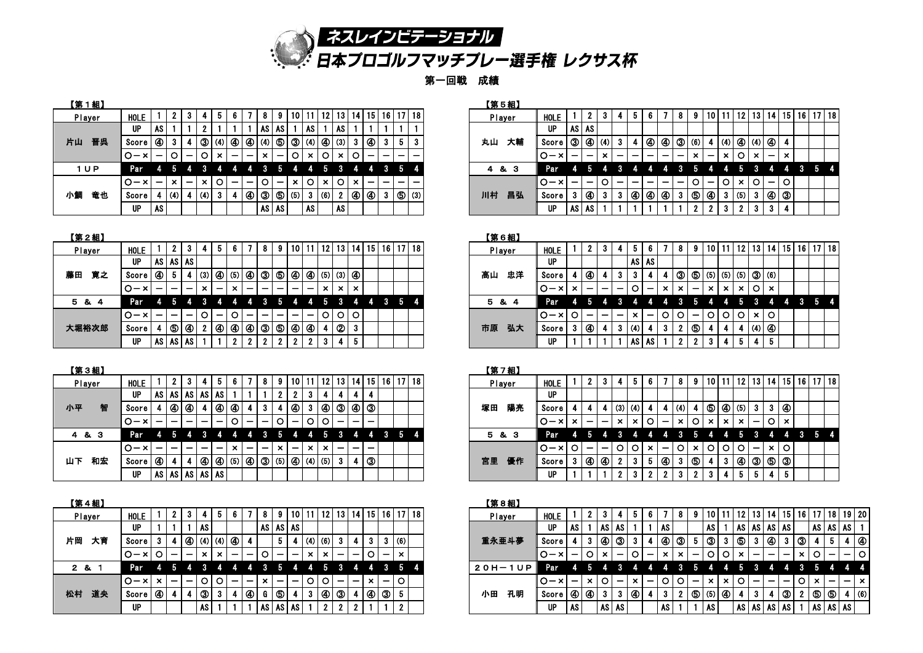

第一回戦 成績

| 【第1組】    |           |    |     |                          |              |                           |   |    |              |                          |                           |    |                 |                           |      |    |       |             |     |    | 【第5組】  |    |            |              |                |
|----------|-----------|----|-----|--------------------------|--------------|---------------------------|---|----|--------------|--------------------------|---------------------------|----|-----------------|---------------------------|------|----|-------|-------------|-----|----|--------|----|------------|--------------|----------------|
| Player   | HOLE      |    |     |                          | 4            | 5                         | 6 |    |              |                          | 10                        | 11 | 12 <sub>1</sub> | 13                        | 14 I |    | 15 16 | <b>17</b>   | 18  |    | Player |    | HOLE       |              | $\overline{2}$ |
|          | <b>UP</b> | AS |     |                          | 2            |                           |   |    | AS.          | AS '                     |                           | AS |                 | AS.                       |      |    |       |             |     |    |        |    | <b>UP</b>  | AS I         | AS             |
| 片山<br>晋呉 | Score     | ❹  |     |                          | ே            | (4)                       | ❹ | ❹  | (4)          | ⑤                        | ③                         |    | $(4)$ $\odot$   | (3)                       | 3    | ❹  | 3     | 5.          | 3   | 丸山 |        | 大輔 | Score      | ே            | <b>4</b>       |
|          | 10-x1     | -  | O   |                          | $\circ$      | $\boldsymbol{\mathsf{x}}$ |   |    | $\mathbf{x}$ | $\overline{\phantom{0}}$ | O                         | ×  | O               | $\boldsymbol{\mathsf{x}}$ |      |    |       |             |     |    |        |    | $O - x$    |              |                |
| 1 U P    | Par       | 4  |     |                          |              |                           |   |    | 3            | 5                        | Z.                        |    | 5               |                           | 4    | 4  | $3 -$ | $5^{\circ}$ | 4   | 4  | & 3    |    | <b>Par</b> | 4            | -5             |
|          | IO-×1     |    | ×   | $\overline{\phantom{0}}$ | $\mathsf{x}$ | $\circ$                   |   |    | $\circ$      | $\overline{\phantom{0}}$ | $\boldsymbol{\mathsf{x}}$ | O  | ×               |                           | ×.   |    |       |             |     |    |        |    | $O - x$    |              |                |
| 竜也<br>小鯛 | Score     | -4 | (4) |                          | (4)          | 3                         | 4 | ⊛∣ | จ            | <b>ூ</b>                 | (5)                       | -3 | (6)             |                           | 49   | 49 | -3    | ை           | (3) | 川村 |        | 昌弘 | Score      | $\mathbf{3}$ | $\mathcal G$   |
|          | <b>UP</b> | AS |     |                          |              |                           |   |    | AS           | AS                       |                           | AS |                 | AS                        |      |    |       |             |     |    |        |    | UP         | AS AS        |                |

| <u> 第1組】</u> |             |                          |             |                          |              |     |                 |                          |              |                          |              |                             |                                                         |              |                                     |                          |        |                          |    |    | 【第5組】  |             |                          |                          |    |   |                          |                          |                          |                              |                |                          |            |              |       |                       |              |                             |
|--------------|-------------|--------------------------|-------------|--------------------------|--------------|-----|-----------------|--------------------------|--------------|--------------------------|--------------|-----------------------------|---------------------------------------------------------|--------------|-------------------------------------|--------------------------|--------|--------------------------|----|----|--------|-------------|--------------------------|--------------------------|----|---|--------------------------|--------------------------|--------------------------|------------------------------|----------------|--------------------------|------------|--------------|-------|-----------------------|--------------|-----------------------------|
| Player       | <b>HOLE</b> |                          |             |                          |              |     |                 |                          | 8            |                          | 10 I         |                             | 12   13                                                 |              | <sup> </sup> 14   15   16   17   18 |                          |        |                          |    |    | Player | <b>HOLE</b> |                          |                          |    |   |                          |                          |                          | 8                            | 9              | 10 <sup>1</sup>          | 11 I       | - 12 I       |       |                       |              | 13   14   15   16   17   18 |
|              | <b>UP</b>   | AS I                     |             |                          |              |     |                 |                          | <b>AS</b>    | AS                       |              | 1 AS I                      |                                                         | l AS         |                                     |                          |        |                          |    |    |        | <b>UP</b>   | <b>AS</b>                | <b>AS</b>                |    |   |                          |                          |                          |                              |                |                          |            |              |       |                       |              |                             |
| 山の晋呉         | Score       | ❹                        | 3           |                          | ◑            | (4) | 0               | ④ ④ ④ ④                  |              |                          |              |                             | $  \circledS   \circledA  $ (4) $  \circledA  $ (3) $ $ |              | 3                                   |                          | -3-1   | Ð                        | -3 | 丸山 | 大輔     | Score       | จ                        | $\bigcirc$ (4)           |    | 3 |                          | <b>4</b>                 |                          | ④ ③ ⑶ ③                      |                |                          |            |              |       | (4)   (4)   (4)   (4) |              |                             |
|              | .O-×1       | $\overline{\phantom{0}}$ |             | $\overline{\phantom{0}}$ | O            |     | -               | $\overline{\phantom{0}}$ | $\mathsf{x}$ | $\overline{\phantom{m}}$ | $\circ$      | $\vert$ x $\vert$ O $\vert$ |                                                         | $\mathbf{x}$ |                                     |                          | $\sim$ | $\overline{\phantom{0}}$ |    |    |        | $O - x$     | -                        | $\overline{\phantom{0}}$ | ×  | - | -                        | -                        | $\overline{\phantom{0}}$ | $\overline{\phantom{0}}$     | $\mathsf{x}$   | $\overline{\phantom{0}}$ | $\times$ 1 | $\circ$      | $x -$ |                       | $\mathbf{x}$ |                             |
| 1UP          | Par         | 4                        | -5          | 4 3                      |              | -4  | Z.              | 4 3                      |              | h.                       | 4            | -4                          |                                                         |              |                                     |                          |        | $3\quad 5\quad 4$        |    |    | 4 & 3  | Par         | А.                       | 5                        |    |   |                          |                          |                          | <b>R</b>                     | .n             |                          |            |              |       |                       |              |                             |
|              | $O - x$     | $\overline{\phantom{0}}$ | $\mathbf x$ | $\overline{\phantom{0}}$ | $\mathsf{x}$ | ΟI  | $\qquad \qquad$ | $\overline{\phantom{0}}$ | $\circ$      | $\overline{\phantom{0}}$ | $\times$   O |                             | $\times$   O                                            |              | −× l                                | $\overline{\phantom{m}}$ |        |                          |    |    |        | $ O-x $     | $\overline{\phantom{m}}$ | $\overline{\phantom{0}}$ | ∩  |   | $\overline{\phantom{0}}$ | $\overline{\phantom{0}}$ | $\overline{\phantom{0}}$ | $\qquad \qquad \blacksquare$ | $\circ$        | $\overline{\phantom{0}}$ | $\circ$    | –× l         |       | 101-101               |              |                             |
| 鋼 竜也         | Score       |                          | 4 (4)       |                          | (4)          |     |                 | 80                       |              | $\bigotimes$ (5)         |              | 3 (6)                       |                                                         |              |                                     |                          |        |                          |    | 川村 | 昌弘     | Score       |                          | ❹                        | -3 | 3 | 0                        | ④                        |                          |                              |                | ④ 3 1 ⑤ ④ ③              | 3 (5)      |              |       | 3   4   3             |              |                             |
|              | <b>UP</b>   | AS                       |             |                          |              |     |                 |                          | AS AS        |                          |              | AS                          |                                                         | l AS         |                                     |                          |        |                          |    |    |        | <b>UP</b>   | AS                       | AS                       |    |   |                          |                          |                          |                              | $\overline{2}$ | 2                        | 3          | $\mathbf{2}$ | 3     | -3                    | 4            |                             |

| 【第2組】    |             |    |                |                          |   |                          |                           |   |   |             |    |                       |             |                 |                                                                       |    |              |     |    |    |        | 【第6組】 |             |   |                          |                          |                          |              |           |
|----------|-------------|----|----------------|--------------------------|---|--------------------------|---------------------------|---|---|-------------|----|-----------------------|-------------|-----------------|-----------------------------------------------------------------------|----|--------------|-----|----|----|--------|-------|-------------|---|--------------------------|--------------------------|--------------------------|--------------|-----------|
| Player   | <b>HOLE</b> |    | 2 <sub>1</sub> | 3.                       |   | 5.                       | 6.                        |   |   | 9           | 10 |                       | 12          | 13 <sub>1</sub> | 14 <sup>1</sup>                                                       | 15 | 16 17        |     | 18 |    | Player |       | <b>HOLE</b> |   | 2                        | 3                        |                          | 5            | - 6       |
|          | <b>UP</b>   |    |                | AS AS AS                 |   |                          |                           |   |   |             |    |                       |             |                 |                                                                       |    |              |     |    |    |        |       | <b>UP</b>   |   |                          |                          |                          | AS I         | <b>AS</b> |
| 藤田<br>寛之 | Score       | ❹  | 5.             | 4                        |   | $(3)$ 4                  | $(5)$ $\circled{4}$       |   | 3 | $\circledS$ |    |                       |             |                 | $\circled{4}$ $\circled{4}$ $\circled{5}$ $\circled{3}$ $\circled{4}$ |    |              |     |    | 高山 |        | 忠洋    | Score       |   | ④                        |                          | 3                        | s            | 4         |
|          | $ O-x $     | -  | -              | -                        | × | $\overline{\phantom{0}}$ | $\boldsymbol{\mathsf{x}}$ |   |   |             |    |                       | $\mathbf x$ | $\mathbf{x}$    | l x                                                                   |    |              |     |    |    |        |       | $O - x$     | × | -                        |                          | $\overline{\phantom{0}}$ | O            |           |
| 5 & 4    | Par         | 4  | 5              |                          |   |                          |                           |   |   |             |    |                       |             |                 |                                                                       | 4  | $\mathbf{3}$ | 457 | 4  | 5. |        | & 4   | Par         |   |                          |                          |                          |              |           |
|          | $O - x$     | -  |                | $\overline{\phantom{0}}$ |   | $\overline{\phantom{0}}$ |                           |   |   |             |    |                       | O I         |                 | $\circ$   $\circ$                                                     |    |              |     |    |    |        |       | $O - x$     |   | $\overline{\phantom{0}}$ | $\overline{\phantom{0}}$ | $\overline{\phantom{0}}$ | $\mathbf{x}$ |           |
| 大堀裕次郎    | Score       | 4. | <b>6</b>       | 40                       | 2 | ❹                        | ❹                         | ◉ | จ | 6           |    | $\bigcirc$ $\bigcirc$ |             | <b>②</b>        | l 3                                                                   |    |              |     |    | 市原 |        | 弘大    | Score       |   |                          |                          | 3                        | (4)          | -4        |
|          | UP          |    |                | AS AS AS                 |   |                          | 2                         | 2 |   | n.          | ົ  | 2                     | з           | 4               | 5                                                                     |    |              |     |    |    |        |       | <b>UP</b>   |   |                          |                          |                          | AS I         | l As      |

| Player   | HOLE    |                | $\overline{2}$ | З.             | 4 I | 5 <sub>1</sub>           | 6.           |    | -8                       | 9            | 10 <sup>°</sup>                     |                |              |              |                |    | 12   13   14   15   16   17   18 |  | Player   | <b>HOL</b> |
|----------|---------|----------------|----------------|----------------|-----|--------------------------|--------------|----|--------------------------|--------------|-------------------------------------|----------------|--------------|--------------|----------------|----|----------------------------------|--|----------|------------|
|          | UP      | AS I           |                | AS AS AS AS AS |     |                          |              |    |                          | 2.           | $\mathbf{2}$                        | 3              |              |              |                |    |                                  |  |          | UP         |
| 智<br>小平  | Score l | 4              | ❹              | 49             | 4 I | $\bigcirc$               |              | 4  | 3                        | 4            | ❹                                   | -3             | ❹∣           |              | $\circledcirc$ |    |                                  |  | 陽亮<br>塚田 | Sco        |
|          | $ O-x $ |                |                |                |     |                          | $\circ$      |    |                          | ΟI           | $\overline{\phantom{m}}$            | $\circ$        | $\circ$      |              |                |    |                                  |  |          | .o-        |
| 4 & 3    | Par     | 4              | -5             | 4              |     | 4                        | 4            | 4  | 3                        | 5            | 4                                   | $\overline{4}$ | 5            | $\mathbf{3}$ | 4              | -4 | $3\quad 5\quad 4$                |  | 5 & 3    | Pa         |
|          | $O - x$ | -              |                |                |     | $\overline{\phantom{0}}$ | $\mathbf{x}$ |    | $\overline{\phantom{0}}$ | $\mathbf{x}$ | $\overline{\phantom{0}}$            | $\mathsf{x}$   | $\mathbf{x}$ |              |                |    |                                  |  |          | IO-        |
| 和宏<br>山下 | Score   | $\circledcirc$ | 4              | 4              | ❹∣  | ❹∣                       | (5)          | 49 |                          |              | $  \circledS  $ (5) $  \circledA  $ |                | $(4)$ (5)    | -3 I         | -4             | จ  |                                  |  | 優作<br>宮里 | Scol       |
|          | UP      | AS I           | AS I           |                |     | AS AS AS                 |              |    |                          |              |                                     |                |              |              |                |    |                                  |  |          | <b>UP</b>  |

| 【第4組】    |           |                           |    |    |                           |                           |                          |                          |              |                          |                          |                           |                           |                |              |                           |                          |                           |              | 【第8組】      |
|----------|-----------|---------------------------|----|----|---------------------------|---------------------------|--------------------------|--------------------------|--------------|--------------------------|--------------------------|---------------------------|---------------------------|----------------|--------------|---------------------------|--------------------------|---------------------------|--------------|------------|
| Player   | HOLE      |                           | 2  | З. | 4                         | 5                         | 6                        |                          | 8.           | 9                        |                          | 10   11   12   13         |                           |                | 14           | 15 <sup>1</sup>           |                          |                           | 16   17   18 | Player     |
|          | <b>UP</b> |                           |    |    | AS.                       |                           |                          |                          |              |                          | AS AS AS                 |                           |                           |                |              |                           |                          |                           |              |            |
| 片岡<br>大育 | Score I   | 3                         | 4  | 49 |                           | (4) (4) (4)               |                          | 4                        |              | 5                        | 4                        | (4)                       | (6)                       | -3             | 4            | 3                         | -3.                      | (6)                       |              | 重永亜斗夢      |
|          | $O - x 1$ |                           |    |    | $\boldsymbol{\mathsf{x}}$ | $\boldsymbol{\mathsf{x}}$ | $\overline{\phantom{0}}$ |                          |              | $\overline{\phantom{0}}$ | $\overline{\phantom{m}}$ | $\boldsymbol{\mathsf{x}}$ | $\boldsymbol{\mathsf{x}}$ |                |              |                           | -                        | $\boldsymbol{\mathsf{x}}$ |              |            |
| 2 & 1    | Par       | ĿF                        | -5 | 4  | 3                         | 4                         | 4                        | 4                        | 3            | 5                        | 4                        | 4.                        | 5                         | -3             | 4.           | 4                         |                          | 3 <sub>5</sub>            | Y.           | $20H - 1U$ |
|          | $O - xI$  | $\boldsymbol{\mathsf{x}}$ | —  |    | $\circ$                   | $\circ$                   | -                        | $\overline{\phantom{0}}$ | $\mathsf{x}$ |                          |                          | l O                       | O                         |                |              | $\boldsymbol{\mathsf{x}}$ | $\overline{\phantom{m}}$ | $\circ$                   |              |            |
| 道央<br>松村 | Score I   | ◉                         | 4  | 4  | 3                         | 3                         | 4                        | ④                        | G            | $\circledS$              | -4                       | 3                         | ◉                         | ு∣             | 4            | ❹                         | ತ                        | 5                         |              | 孔明<br>小田   |
|          | <b>UP</b> |                           |    |    | AS '                      |                           |                          |                          | AS I         |                          | AS AS                    |                           | $\mathbf{2}$              | $\overline{2}$ | $\mathbf{2}$ |                           |                          | 2                         |              |            |

| 【第2組】        |                       |                          |                          |                          |                |                          |              |                          |                          |                                                 |                          |                          |              |                                 |         |      |              |    |    |     | 【第6組】  |             |                           |                          |                          |                          |              |                          |              |               |                          |          |                       |                 |                                             |    |    |                        |  |
|--------------|-----------------------|--------------------------|--------------------------|--------------------------|----------------|--------------------------|--------------|--------------------------|--------------------------|-------------------------------------------------|--------------------------|--------------------------|--------------|---------------------------------|---------|------|--------------|----|----|-----|--------|-------------|---------------------------|--------------------------|--------------------------|--------------------------|--------------|--------------------------|--------------|---------------|--------------------------|----------|-----------------------|-----------------|---------------------------------------------|----|----|------------------------|--|
| Player       | HOLE                  |                          |                          | - 3                      |                |                          |              |                          |                          |                                                 | 10111                    |                          | 12           | -13                             | -14     | 15 I | 16   17   18 |    |    |     | Player | <b>HOLE</b> |                           | $\overline{2}$           | 3                        |                          |              |                          |              |               |                          | - 10 I   |                       | 12 <sub>1</sub> | - 13 I                                      |    |    | 14   15   16   17   18 |  |
|              | <b>UP</b>             | AS !                     | <b>AS AS</b>             |                          |                |                          |              |                          |                          |                                                 |                          |                          |              |                                 |         |      |              |    |    |     |        | <b>UP</b>   |                           |                          |                          |                          |              | AS AS                    |              |               |                          |          |                       |                 |                                             |    |    |                        |  |
| 寛之<br>田      | Score $  \circledA  $ |                          | -5                       | 4                        | (3)            |                          |              |                          |                          | $  \circledA  ^{(5)}   \circledA   \circledA  $ |                          | 40                       | (5)          |                                 | $(3)$ 4 |      |              |    | 高山 |     | 忠洋     | Score       |                           | 4 (4                     |                          | З.                       | 3            |                          |              | $\circled{3}$ |                          |          |                       |                 | $ $ (5) $ $ (5) $ $ (5) $ $ (5) $ $ (6) $ $ |    |    |                        |  |
|              | $O - x$               | $\overline{\phantom{0}}$ | $\overline{\phantom{0}}$ | $\overline{\phantom{a}}$ | $\mathbf x$    | $\overline{\phantom{0}}$ | $\mathsf{x}$ | $\overline{\phantom{0}}$ |                          | $\overline{\phantom{a}}$                        | $\overline{\phantom{0}}$ | $\overline{\phantom{0}}$ | $\mathbf{x}$ | $x \mid x$                      |         |      |              |    |    |     |        | $O - x$     | $\boldsymbol{\mathsf{x}}$ | $\overline{\phantom{0}}$ | $\overline{\phantom{0}}$ | $\overline{\phantom{a}}$ | $\circ$      | $\overline{\phantom{0}}$ | $\mathsf{x}$ | $\times$      | $\overline{\phantom{0}}$ | $\times$ | $\boldsymbol{\times}$ |                 | x 0 x                                       |    |    |                        |  |
| 5 & 4        | Par                   |                          | Ð                        |                          |                |                          |              |                          |                          |                                                 |                          |                          | -5           |                                 |         | 4    | 3            | 54 |    | 5 & | -4     | Par         |                           |                          |                          |                          |              |                          |              |               |                          |          |                       |                 |                                             | 4  | -4 | $-3$ 5 4 $-$           |  |
|              | O-×I                  | $\qquad \qquad$          | $\overline{\phantom{0}}$ | $\overline{\phantom{m}}$ | O.             | $\overline{\phantom{0}}$ | $\circ$      | $\overline{\phantom{0}}$ | $\overline{\phantom{0}}$ | $\overline{\phantom{0}}$                        | $\overline{\phantom{0}}$ | $\overline{\phantom{0}}$ | O.           |                                 | 0   0   |      |              |    |    |     |        | $O - x$     | $\circ$                   | $\overline{\phantom{0}}$ | $\overline{\phantom{0}}$ | $\overline{\phantom{0}}$ | $\mathbf{x}$ | $\overline{\phantom{0}}$ |              | O[O]          | $\overline{\phantom{0}}$ | $\circ$  | l O                   |                 | 0   ×   0                                   |    |    |                        |  |
| <b>大堀裕次郎</b> | Score                 |                          |                          | $\circ$ $\circ$          | $\overline{2}$ |                          |              |                          |                          | 4  4  4  3  5  4                                |                          | ◉                        |              | $\vert \textcircled{2} \vert$ 3 |         |      |              |    | 市原 |     | 弘大     | Score       |                           | $\circledcirc$           | 4                        |                          | 3 (4)        | 4                        | 3            |               | ⑤                        |          |                       |                 | $\left  \right $ (4) $\left  \right $       | 40 |    |                        |  |
|              | UP                    | AS                       | <b>AS AS</b>             |                          |                |                          |              |                          |                          |                                                 |                          |                          |              |                                 |         |      |              |    |    |     |        | UP          |                           |                          |                          |                          | AS           | AS.                      |              |               |                          | 3        |                       |                 |                                             | 5  |    |                        |  |

| 【第3組】 |  |  |  |  |  |  |  |  |  |  | $F \wedge F = \wedge F$<br><b>A 217</b><br>w. |
|-------|--|--|--|--|--|--|--|--|--|--|-----------------------------------------------|
|       |  |  |  |  |  |  |  |  |  |  |                                               |

| ------- |    |                          |                          |                          |                          |                          |                          |              |                          |                          |                        |                          |         |              |                          |                          |                                   |          |  |       |        |             |              |                          |                          |              |             |              |                          |                |    |       |            |            |                                         |               |  |                                            |  |
|---------|----|--------------------------|--------------------------|--------------------------|--------------------------|--------------------------|--------------------------|--------------|--------------------------|--------------------------|------------------------|--------------------------|---------|--------------|--------------------------|--------------------------|-----------------------------------|----------|--|-------|--------|-------------|--------------|--------------------------|--------------------------|--------------|-------------|--------------|--------------------------|----------------|----|-------|------------|------------|-----------------------------------------|---------------|--|--------------------------------------------|--|
| Player  |    | HOLE                     |                          |                          | - 3                      |                          |                          |              |                          | 8                        |                        |                          |         | 10   11   12 | 13                       |                          | 14   15                           | 16 17 18 |  |       | Player | <b>HOLE</b> |              | $\mathbf{2}$             | 3.                       | 4            | 5.          | 6.           |                          | -81            | -9 |       |            |            |                                         |               |  | 10   11   12   13   14   15   16   17   18 |  |
|         |    | <b>UP</b>                | AS                       | <b>AS AS</b>             |                          | AS I                     | AS                       |              |                          |                          |                        |                          |         |              |                          |                          |                                   |          |  |       |        | <b>UP</b>   |              |                          |                          |              |             |              |                          |                |    |       |            |            |                                         |               |  |                                            |  |
| ト平      |    | Score                    |                          | ④   ④                    |                          |                          |                          | 80 D         |                          | 3                        |                        | ا @                      | -3      | ା⊛ା          |                          |                          | $  \circledcirc   \circledcirc  $ |          |  | 塚田    | 陽亮     | Score       |              | 4                        |                          | $ (3) $ (4)  |             |              |                          | (4)            |    |       |            |            | $  \circledS   \circledA  $ (5) $  3  $ | $3 0\rangle$  |  |                                            |  |
|         |    | $O - x$                  | $\overline{\phantom{0}}$ | $\overline{\phantom{0}}$ |                          | $\overline{\phantom{0}}$ | $\overline{\phantom{0}}$ | $\circ$      | $\overline{\phantom{0}}$ |                          | . O I                  | $\overline{\phantom{0}}$ | $\circ$ |              |                          | $\overline{\phantom{0}}$ |                                   |          |  |       |        | $O - x$     | $\mathsf{x}$ | $\overline{\phantom{0}}$ | $\overline{\phantom{0}}$ | $\times$ 1   | –× l        | $\circ$      | $\overline{\phantom{0}}$ | $\times$   O   |    | −× I  | $\times$ 1 | $\times$ 1 | $\overline{\phantom{0}}$                | $Ol$ $\times$ |  |                                            |  |
| 4 & 3   |    | Par                      |                          | ÷.                       |                          |                          |                          |              |                          | . 3                      |                        | 54                       |         | <b>45</b>    | -3                       | -4                       |                                   | 4 3 5 4  |  | 5&    | - 3    | Par         |              |                          |                          |              |             |              |                          |                | -5 | -4    | -4         | 5.         |                                         | 44            |  | 354                                        |  |
|         |    | O-×I                     | $\overline{\phantom{0}}$ | $\overline{\phantom{0}}$ | $\overline{\phantom{0}}$ | $\overline{\phantom{0}}$ | $\overline{\phantom{0}}$ | $\mathbf{x}$ | $\overline{\phantom{0}}$ | $\overline{\phantom{0}}$ | $\mathbf{v}$<br>$\sim$ | $\overline{\phantom{0}}$ | ×∣      | $\mathbf{x}$ | $\overline{\phantom{0}}$ | $\sim$                   | —                                 |          |  |       |        | $O - x$     | $\mathsf{O}$ | $\overline{\phantom{0}}$ | $\overline{\phantom{0}}$ | 0   0        |             | $\mathbf{x}$ | $\sim$                   | $ O  \times  $ |    | 10101 |            | $ O -1$    |                                         | $\times$   O  |  |                                            |  |
| ∣T⊧     | 和宏 | Score $\vert \Phi \vert$ |                          |                          |                          | $\Theta$                 |                          |              |                          |                          |                        |                          |         |              | -3-1                     |                          | 3                                 |          |  | 宮里 優作 |        | Score       | $3^{\circ}$  | $\bigcirc$               | $\Theta$                 | $\mathbf{2}$ | $3^{\circ}$ | Ð            | $\bigcirc$               | 3   G          |    |       | 3          |            | $  \circledcirc  $                      | (5   (3       |  |                                            |  |
|         |    | <b>UP</b>                | AS I                     |                          |                          | AS AS AS AS              |                          |              |                          |                          |                        |                          |         |              |                          |                          |                                   |          |  |       |        | UP          |              |                          |                          |              | 3           |              |                          |                |    |       |            |            |                                         |               |  |                                            |  |

| 【第4組】  |                                                        |             |                           |                          |                          |                                   |              |                          |                              |                           |                          |                          |                 |                                                            |                          |          |                          |                   |  | 【第8組】 |         |                       |                          |              |                |                          |              |                          |                           |                                          |                                     |                   |                           |              |                          |                          |              |              |                          |                             |              |
|--------|--------------------------------------------------------|-------------|---------------------------|--------------------------|--------------------------|-----------------------------------|--------------|--------------------------|------------------------------|---------------------------|--------------------------|--------------------------|-----------------|------------------------------------------------------------|--------------------------|----------|--------------------------|-------------------|--|-------|---------|-----------------------|--------------------------|--------------|----------------|--------------------------|--------------|--------------------------|---------------------------|------------------------------------------|-------------------------------------|-------------------|---------------------------|--------------|--------------------------|--------------------------|--------------|--------------|--------------------------|-----------------------------|--------------|
| Player |                                                        | <b>HOLE</b> |                           |                          |                          |                                   |              |                          |                              |                           |                          | 10 <sup>1</sup>          | $11$   12       |                                                            |                          |          |                          | 13 14 15 16 17 18 |  |       | Plaver  | <b>HOLE</b>           |                          | $\mathbf{2}$ |                |                          |              |                          |                           | 8                                        |                                     | 10   11           |                           | $12$   13    | 14                       |                          |              |              |                          | 15   16   17   18   19   20 |              |
|        |                                                        | <b>UP</b>   |                           |                          |                          | <b>AS</b>                         |              |                          |                              |                           | AS AS AS                 |                          |                 |                                                            |                          |          |                          |                   |  |       |         | UP                    | AS                       |              | AS AS I        |                          |              |                          | l AS                      |                                          | I AS                                |                   |                           | <b>AS AS</b> | AS   AS                  |                          |              | AS AS AS     |                          |                             |              |
|        | ト岡の大育 おくしゅう ちょうかん ちょうかん しゅうかん うちのう おおし おおおお はんしょう はんしゃ | Score       |                           |                          |                          | $\bigcirc$ (4) (4) $\bigcirc$ (4) |              |                          | 4                            |                           |                          |                          | (4) (6)         | 3                                                          |                          |          |                          | 3 (6)             |  | 重永亜斗夢 |         | Score                 |                          | $\mathbf{3}$ | 48             |                          |              |                          | ④                         | จ                                        | 5 3                                 | -3                | ெ                         |              | $\circledast$            | 3                        | จ            |              |                          |                             | $\bigcirc$   |
|        |                                                        | IO-×        | $\circ$                   | $\overline{\phantom{0}}$ | $\overline{\phantom{0}}$ | $\mathsf{x}$                      | $\mathsf{x}$ | $\overline{\phantom{0}}$ | $\qquad \qquad \blacksquare$ |                           | $\overline{\phantom{0}}$ | $\overline{\phantom{0}}$ | $\mathsf{x}$    | $\sim$<br>$\overline{\phantom{0}}$<br>$\ddot{\phantom{1}}$ | $\overline{\phantom{0}}$ |          | $\overline{\phantom{0}}$ | $\mathbf{x}$      |  |       |         | $O - x$               | $\overline{\phantom{0}}$ | $\circ$      | $\mathsf{x}$   | $\overline{\phantom{0}}$ |              | $\overline{\phantom{m}}$ | $\boldsymbol{\mathsf{x}}$ | $\mathbf{x}$<br>$\overline{\phantom{0}}$ |                                     | 1010              | $\boldsymbol{\mathsf{x}}$ | -            | $\overline{\phantom{0}}$ | $\overline{\phantom{0}}$ | $\mathbf{x}$ |              | $\overline{\phantom{0}}$ | $\overline{\phantom{0}}$    | $\circ$      |
| 2 & 1  |                                                        | Par         |                           |                          |                          |                                   |              |                          |                              |                           | -5                       |                          |                 | -5                                                         |                          |          |                          | $3\quad 5\quad 4$ |  |       | 20H-1UP | <b>Par</b>            | 4.                       | -6           |                |                          |              |                          |                           |                                          |                                     |                   | 5                         |              |                          |                          |              |              |                          |                             |              |
|        |                                                        | $O - x$     | $\boldsymbol{\mathsf{x}}$ | $\overline{\phantom{m}}$ | $\overline{\phantom{0}}$ | 1010.                             |              | $\overline{\phantom{0}}$ | $\overline{\phantom{0}}$     | $\boldsymbol{\mathsf{x}}$ | $\overline{\phantom{m}}$ | $\overline{\phantom{0}}$ | $\circ$ $\circ$ | $\overline{\phantom{0}}$                                   | $\overline{\phantom{0}}$ | $\times$ |                          | $ - $ O $ $       |  |       |         | $IO-x$                | $\overline{\phantom{a}}$ | $\mathbf{x}$ | $\circ$        | $\overline{\phantom{0}}$ | $\mathbf{x}$ | $\overline{\phantom{0}}$ | l O                       | $\overline{\phantom{0}}$                 |                                     | $x \mid x \mid O$ |                           | -            |                          | $\overline{\phantom{0}}$ | $ O  \times$ |              |                          | $\overline{\phantom{0}}$    | $\mathbf{x}$ |
|        | いちゅうかい 道央                                              | Score       | 10 I                      |                          |                          | $\overline{\bullet}$              | 3.           |                          | $\overline{\bullet}$         | G                         | 1 G I                    |                          |                 | $\bigcirc$<br>ා                                            |                          |          | 4   3                    | - 5               |  | 小田    | 孔明      | $ Score  \circledA  $ |                          |              | 3 <sup>1</sup> | 3   40                   |              |                          | 3                         | $\mathbf{2}$                             | $  \circledS  $ (5) $  \circledA  $ |                   |                           |              |                          | ತ                        |              | 6            | <u>ේ</u>                 | (6)                         |              |
|        |                                                        | <b>UP</b>   |                           |                          |                          | AS                                |              |                          |                              |                           | AS AS AS                 |                          |                 |                                                            |                          |          |                          | $\mathbf{2}$      |  |       |         | <b>UP</b>             | AS                       |              | AS AS          |                          |              |                          | AS                        |                                          | <b>AS</b>                           |                   |                           | AS AS        | <b>AS AS</b>             |                          |              | AS   AS   AS |                          |                             |              |